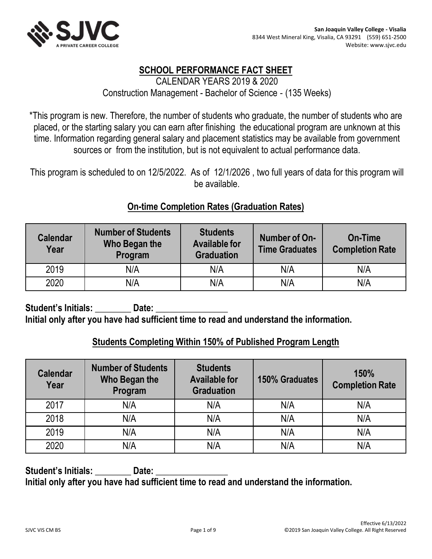



# **SCHOOL PERFORMANCE FACT SHEET** CALENDAR YEARS 2019 & 2020 Construction Management - Bachelor of Science ‐ (135 Weeks)

\*This program is new. Therefore, the number of students who graduate, the number of students who are placed, or the starting salary you can earn after finishing the educational program are unknown at this time. Information regarding general salary and placement statistics may be available from government sources or from the institution, but is not equivalent to actual performance data.

This program is scheduled to on 12/5/2022. As of 12/1/2026 , two full years of data for this program will be available.

# **On-time Completion Rates (Graduation Rates)**

| <b>Calendar</b><br>Year | <b>Number of Students</b><br>Who Began the<br>Program | <b>Students</b><br><b>Available for</b><br><b>Graduation</b> | Number of On-<br><b>Time Graduates</b> | <b>On-Time</b><br><b>Completion Rate</b> |
|-------------------------|-------------------------------------------------------|--------------------------------------------------------------|----------------------------------------|------------------------------------------|
| 2019                    | N/A                                                   | N/A                                                          | N/A                                    | N/A                                      |
| 2020                    | N/A                                                   | N/A                                                          | N/A                                    | N/A                                      |

Student's Initials: **Date:** Date: **Initial only after you have had sufficient time to read and understand the information.**

#### **Students Completing Within 150% of Published Program Length**

| <b>Calendar</b><br>Year | <b>Number of Students</b><br>Who Began the<br>Program | <b>Students</b><br><b>Available for</b><br><b>Graduation</b> | <b>150% Graduates</b> | 150%<br><b>Completion Rate</b> |
|-------------------------|-------------------------------------------------------|--------------------------------------------------------------|-----------------------|--------------------------------|
| 2017                    | N/A                                                   | N/A                                                          | N/A                   | N/A                            |
| 2018                    | N/A                                                   | N/A                                                          | N/A                   | N/A                            |
| 2019                    | N/A                                                   | N/A                                                          | N/A                   | N/A                            |
| 2020                    | N/A                                                   | N/A                                                          | N/A                   | N/A                            |

Student's Initials: **Date:** Date: **Initial only after you have had sufficient time to read and understand the information.**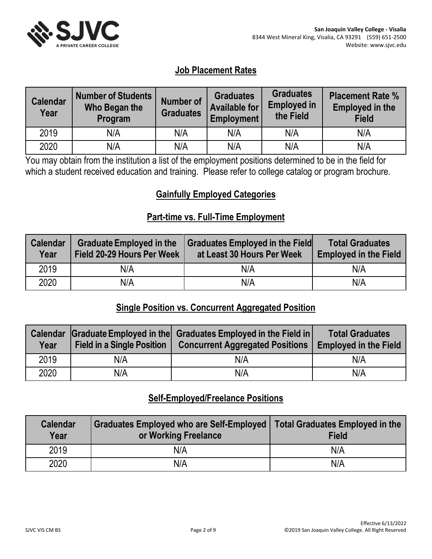

# **Job Placement Rates**

| <b>Calendar</b><br>Year | <b>Number of Students</b><br>Who Began the<br>Program | Number of<br><b>Graduates</b> | <b>Graduates</b><br><b>Available for</b><br><b>Employment</b> | <b>Graduates</b><br><b>Employed in</b><br>the Field | <b>Placement Rate %</b><br><b>Employed in the</b><br><b>Field</b> |
|-------------------------|-------------------------------------------------------|-------------------------------|---------------------------------------------------------------|-----------------------------------------------------|-------------------------------------------------------------------|
| 2019                    | N/A                                                   | N/A                           | N/A                                                           | N/A                                                 | N/A                                                               |
| 2020                    | N/A                                                   | N/A                           | N/A                                                           | N/A                                                 | N/A                                                               |

You may obtain from the institution a list of the employment positions determined to be in the field for which a student received education and training. Please refer to college catalog or program brochure.

# **Gainfully Employed Categories**

#### **Part-time vs. Full-Time Employment**

| Calendar<br>Year | <b>Graduate Employed in the</b><br>Field 20-29 Hours Per Week | <b>Graduates Employed in the Field</b><br>at Least 30 Hours Per Week | <b>Total Graduates</b><br><b>Employed in the Field</b> |
|------------------|---------------------------------------------------------------|----------------------------------------------------------------------|--------------------------------------------------------|
| 2019             | N/A                                                           | N/A                                                                  | N/A                                                    |
| 2020             | N/A                                                           | N/A                                                                  | N/A                                                    |

# **Single Position vs. Concurrent Aggregated Position**

| <b>Calendar</b><br>Year | <b>Field in a Single Position</b> | Graduate Employed in the Graduates Employed in the Field in<br><b>Concurrent Aggregated Positions</b> | <b>Total Graduates</b><br><b>Employed in the Field</b> |
|-------------------------|-----------------------------------|-------------------------------------------------------------------------------------------------------|--------------------------------------------------------|
| 2019                    | N/A                               | N/A                                                                                                   | N/A                                                    |
| 2020                    | N/A                               | N/A                                                                                                   | N/A                                                    |

# **Self-Employed/Freelance Positions**

| <b>Calendar</b><br>Year | Graduates Employed who are Self-Employed   Total Graduates Employed in the<br>or Working Freelance | <b>Field</b> |
|-------------------------|----------------------------------------------------------------------------------------------------|--------------|
| 2019                    | N/A                                                                                                | N/A          |
| 2020                    | N/A                                                                                                | N/A          |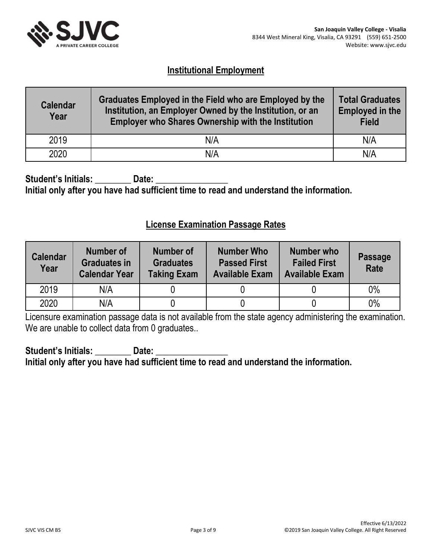

# **Institutional Employment**

| <b>Calendar</b><br>Year | Graduates Employed in the Field who are Employed by the<br>Institution, an Employer Owned by the Institution, or an<br><b>Employer who Shares Ownership with the Institution</b> | <b>Total Graduates</b><br><b>Employed in the</b><br><b>Field</b> |
|-------------------------|----------------------------------------------------------------------------------------------------------------------------------------------------------------------------------|------------------------------------------------------------------|
| 2019                    | N/A                                                                                                                                                                              | N/A                                                              |
| 2020                    | N/A                                                                                                                                                                              | N/A                                                              |

Student's Initials: **Date: Initial only after you have had sufficient time to read and understand the information.**

#### **License Examination Passage Rates**

| <b>Calendar</b><br>Year | Number of<br><b>Graduates in</b><br><b>Calendar Year</b> | Number of<br><b>Graduates</b><br><b>Taking Exam</b> | <b>Number Who</b><br><b>Passed First</b><br><b>Available Exam</b> | Number who<br><b>Failed First</b><br><b>Available Exam</b> | <b>Passage</b><br><b>Rate</b> |
|-------------------------|----------------------------------------------------------|-----------------------------------------------------|-------------------------------------------------------------------|------------------------------------------------------------|-------------------------------|
| 2019                    | N/A                                                      |                                                     |                                                                   |                                                            | $0\%$                         |
| 2020                    | N/A                                                      |                                                     |                                                                   |                                                            | 0%                            |

Licensure examination passage data is not available from the state agency administering the examination. We are unable to collect data from 0 graduates..

Student's Initials: **Date:** Date: **Initial only after you have had sufficient time to read and understand the information.**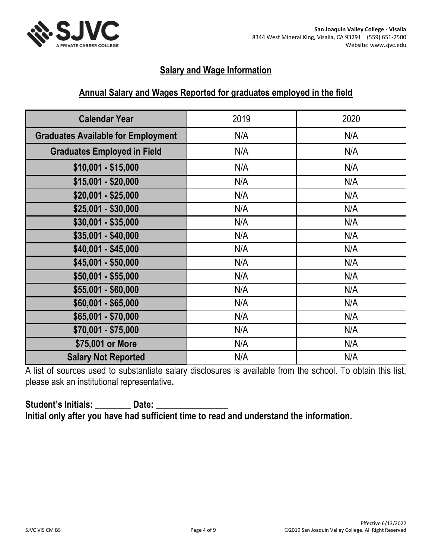

# **Salary and Wage Information**

## **Annual Salary and Wages Reported for graduates employed in the field**

| <b>Calendar Year</b>                      | 2019 | 2020 |
|-------------------------------------------|------|------|
| <b>Graduates Available for Employment</b> | N/A  | N/A  |
| <b>Graduates Employed in Field</b>        | N/A  | N/A  |
| $$10,001 - $15,000$                       | N/A  | N/A  |
| $$15,001 - $20,000$                       | N/A  | N/A  |
| \$20,001 - \$25,000                       | N/A  | N/A  |
| $$25,001 - $30,000$                       | N/A  | N/A  |
| $$30,001 - $35,000$                       | N/A  | N/A  |
| $$35,001 - $40,000$                       | N/A  | N/A  |
| $$40,001 - $45,000$                       | N/A  | N/A  |
| $$45,001 - $50,000$                       | N/A  | N/A  |
| \$50,001 - \$55,000                       | N/A  | N/A  |
| \$55,001 - \$60,000                       | N/A  | N/A  |
| \$60,001 - \$65,000                       | N/A  | N/A  |
| \$65,001 - \$70,000                       | N/A  | N/A  |
| \$70,001 - \$75,000                       | N/A  | N/A  |
| \$75,001 or More                          | N/A  | N/A  |
| <b>Salary Not Reported</b>                | N/A  | N/A  |

A list of sources used to substantiate salary disclosures is available from the school. To obtain this list, please ask an institutional representative**.** 

# Student's Initials: **Date: Initial only after you have had sufficient time to read and understand the information.**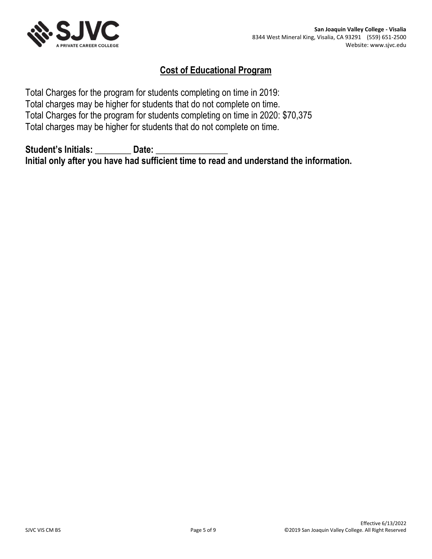

# **Cost of Educational Program**

Total Charges for the program for students completing on time in 2019: Total charges may be higher for students that do not complete on time. Total Charges for the program for students completing on time in 2020: \$70,375 Total charges may be higher for students that do not complete on time.

Student's Initials: **Date: Initial only after you have had sufficient time to read and understand the information.**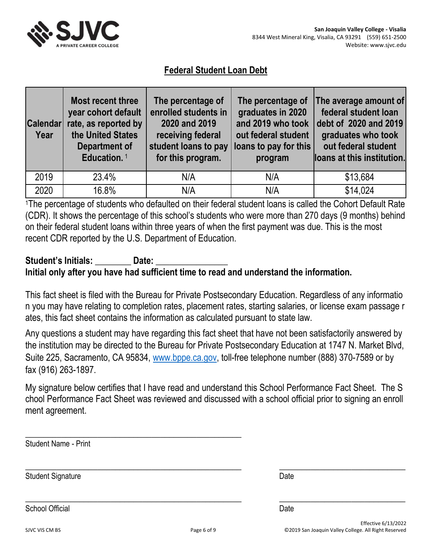

# **Federal Student Loan Debt**

| <b>Calendar</b><br>Year | Most recent three<br>year cohort default<br>rate, as reported by<br>the United States<br>Department of<br>Education. <sup>1</sup> | The percentage of<br>enrolled students in<br>2020 and 2019<br>receiving federal<br>student loans to pay<br>for this program. | The percentage of<br>graduates in 2020<br>and 2019 who took<br>out federal student<br>loans to pay for this<br>program | The average amount of<br>federal student loan<br>debt of 2020 and 2019<br>graduates who took<br>out federal student<br>loans at this institution. |
|-------------------------|-----------------------------------------------------------------------------------------------------------------------------------|------------------------------------------------------------------------------------------------------------------------------|------------------------------------------------------------------------------------------------------------------------|---------------------------------------------------------------------------------------------------------------------------------------------------|
| 2019                    | 23.4%                                                                                                                             | N/A                                                                                                                          | N/A                                                                                                                    | \$13,684                                                                                                                                          |
| 2020                    | 16.8%                                                                                                                             | N/A                                                                                                                          | N/A                                                                                                                    | \$14,024                                                                                                                                          |

<sup>1</sup>The percentage of students who defaulted on their federal student loans is called the Cohort Default Rate (CDR). It shows the percentage of this school's students who were more than 270 days (9 months) behind on their federal student loans within three years of when the first payment was due. This is the most recent CDR reported by the U.S. Department of Education.

# Student's Initials: **Date:** Date: **Initial only after you have had sufficient time to read and understand the information.**

This fact sheet is filed with the Bureau for Private Postsecondary Education. Regardless of any informatio n you may have relating to completion rates, placement rates, starting salaries, or license exam passage r ates, this fact sheet contains the information as calculated pursuant to state law.

Any questions a student may have regarding this fact sheet that have not been satisfactorily answered by the institution may be directed to the Bureau for Private Postsecondary Education at 1747 N. Market Blvd, Suite 225, Sacramento, CA 95834, [www.bppe.ca.gov,](https://www.bppe.ca.gov/) toll-free telephone number (888) 370-7589 or by fax (916) 263-1897.

My signature below certifies that I have read and understand this School Performance Fact Sheet. The S chool Performance Fact Sheet was reviewed and discussed with a school official prior to signing an enroll ment agreement.

| <b>Student Name - Print</b> |             |                                                                             |
|-----------------------------|-------------|-----------------------------------------------------------------------------|
| <b>Student Signature</b>    |             | Date                                                                        |
| <b>School Official</b>      |             | Date                                                                        |
| SJVC VIS CM BS              | Page 6 of 9 | Effective 6/13/2022<br>©2019 San Joaquin Valley College. All Right Reserved |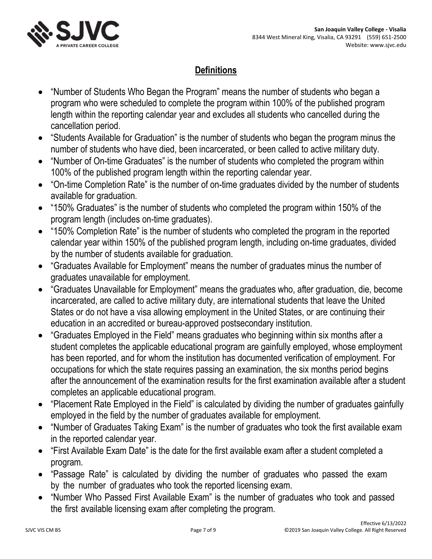

# **Definitions**

- "Number of Students Who Began the Program" means the number of students who began a program who were scheduled to complete the program within 100% of the published program length within the reporting calendar year and excludes all students who cancelled during the cancellation period.
- "Students Available for Graduation" is the number of students who began the program minus the number of students who have died, been incarcerated, or been called to active military duty.
- "Number of On-time Graduates" is the number of students who completed the program within 100% of the published program length within the reporting calendar year.
- "On-time Completion Rate" is the number of on-time graduates divided by the number of students available for graduation.
- "150% Graduates" is the number of students who completed the program within 150% of the program length (includes on-time graduates).
- "150% Completion Rate" is the number of students who completed the program in the reported calendar year within 150% of the published program length, including on-time graduates, divided by the number of students available for graduation.
- "Graduates Available for Employment" means the number of graduates minus the number of graduates unavailable for employment.
- "Graduates Unavailable for Employment" means the graduates who, after graduation, die, become incarcerated, are called to active military duty, are international students that leave the United States or do not have a visa allowing employment in the United States, or are continuing their education in an accredited or bureau-approved postsecondary institution.
- "Graduates Employed in the Field" means graduates who beginning within six months after a student completes the applicable educational program are gainfully employed, whose employment has been reported, and for whom the institution has documented verification of employment. For occupations for which the state requires passing an examination, the six months period begins after the announcement of the examination results for the first examination available after a student completes an applicable educational program.
- "Placement Rate Employed in the Field" is calculated by dividing the number of graduates gainfully employed in the field by the number of graduates available for employment.
- "Number of Graduates Taking Exam" is the number of graduates who took the first available exam in the reported calendar year.
- "First Available Exam Date" is the date for the first available exam after a student completed a program.
- "Passage Rate" is calculated by dividing the number of graduates who passed the exam by the number of graduates who took the reported licensing exam.
- "Number Who Passed First Available Exam" is the number of graduates who took and passed the first available licensing exam after completing the program.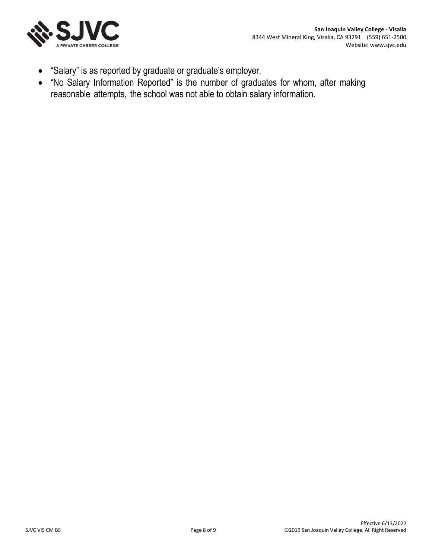

- "Salary" is as reported by graduate or graduate's employer.
- "No Salary Information Reported" is the number of graduates for whom, after making reasonable attempts, the school was not able to obtain salary information.